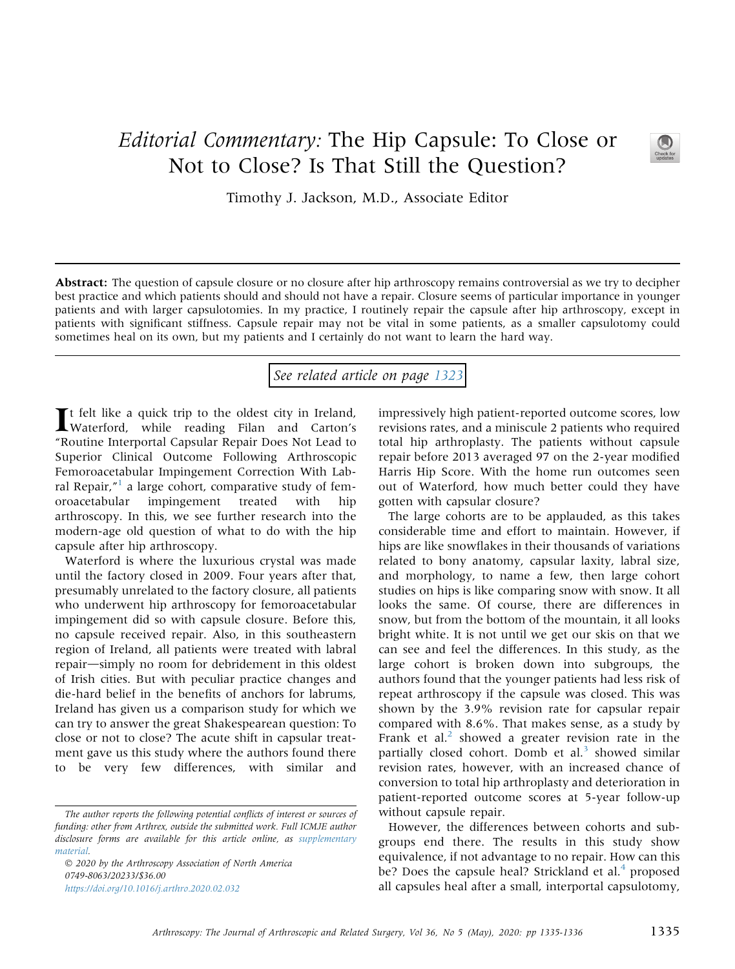## Editorial Commentary: The Hip Capsule: To Close or Not to Close? Is That Still the Question?



Timothy J. Jackson, M.D., Associate Editor

Abstract: The question of capsule closure or no closure after hip arthroscopy remains controversial as we try to decipher best practice and which patients should and should not have a repair. Closure seems of particular importance in younger patients and with larger capsulotomies. In my practice, I routinely repair the capsule after hip arthroscopy, except in patients with significant stiffness. Capsule repair may not be vital in some patients, as a smaller capsulotomy could sometimes heal on its own, but my patients and I certainly do not want to learn the hard way.

## See related article on page [1323](http://www.arthroscopyjournal.org/article/S0749-8063(19)31194-6/abstract)

It felt like a quick trip to the oldest city in Ireland,<br>Waterford, while reading Filan and Carton's "Routine Interportal Capsular Repair Does Not Lead to Superior Clinical Outcome Following Arthroscopic Femoroacetabular Impingement Correction With Lab-ral Repair,"<sup>[1](#page-1-0)</sup> a large cohort, comparative study of femoroacetabular impingement treated with hip arthroscopy. In this, we see further research into the modern-age old question of what to do with the hip capsule after hip arthroscopy.

Waterford is where the luxurious crystal was made until the factory closed in 2009. Four years after that, presumably unrelated to the factory closure, all patients who underwent hip arthroscopy for femoroacetabular impingement did so with capsule closure. Before this, no capsule received repair. Also, in this southeastern region of Ireland, all patients were treated with labral repair-simply no room for debridement in this oldest of Irish cities. But with peculiar practice changes and die-hard belief in the benefits of anchors for labrums, Ireland has given us a comparison study for which we can try to answer the great Shakespearean question: To close or not to close? The acute shift in capsular treatment gave us this study where the authors found there to be very few differences, with similar and

 2020 by the Arthroscopy Association of North America 0749-8063/20233/\$36.00 <https://doi.org/10.1016/j.arthro.2020.02.032>

impressively high patient-reported outcome scores, low revisions rates, and a miniscule 2 patients who required total hip arthroplasty. The patients without capsule repair before 2013 averaged 97 on the 2-year modified Harris Hip Score. With the home run outcomes seen out of Waterford, how much better could they have gotten with capsular closure?

The large cohorts are to be applauded, as this takes considerable time and effort to maintain. However, if hips are like snowflakes in their thousands of variations related to bony anatomy, capsular laxity, labral size, and morphology, to name a few, then large cohort studies on hips is like comparing snow with snow. It all looks the same. Of course, there are differences in snow, but from the bottom of the mountain, it all looks bright white. It is not until we get our skis on that we can see and feel the differences. In this study, as the large cohort is broken down into subgroups, the authors found that the younger patients had less risk of repeat arthroscopy if the capsule was closed. This was shown by the 3.9% revision rate for capsular repair compared with 8.6%. That makes sense, as a study by Frank et al. $<sup>2</sup>$  $<sup>2</sup>$  $<sup>2</sup>$  showed a greater revision rate in the</sup> partially closed cohort. Domb et al.<sup>[3](#page-1-2)</sup> showed similar revision rates, however, with an increased chance of conversion to total hip arthroplasty and deterioration in patient-reported outcome scores at 5-year follow-up without capsule repair.

However, the differences between cohorts and subgroups end there. The results in this study show equivalence, if not advantage to no repair. How can this be? Does the capsule heal? Strickland et al.<sup>[4](#page-1-3)</sup> proposed all capsules heal after a small, interportal capsulotomy,

The author reports the following potential conflicts of interest or sources of funding: other from Arthrex, outside the submitted work. Full ICMJE author disclosure forms are available for this article online, as supplementary material.